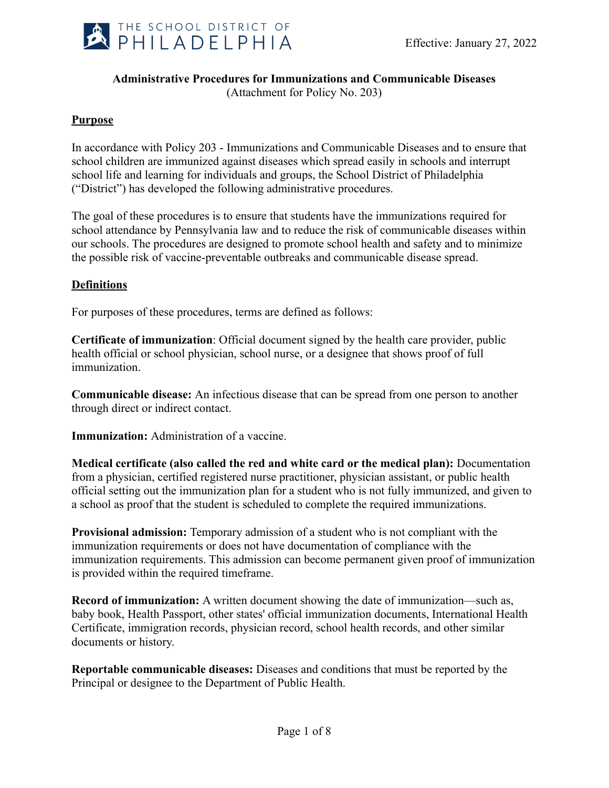

### **Administrative Procedures for Immunizations and Communicable Diseases**

(Attachment for Policy No. 203)

### **Purpose**

In accordance with Policy 203 - Immunizations and Communicable Diseases and to ensure that school children are immunized against diseases which spread easily in schools and interrupt school life and learning for individuals and groups, the School District of Philadelphia ("District") has developed the following administrative procedures.

The goal of these procedures is to ensure that students have the immunizations required for school attendance by Pennsylvania law and to reduce the risk of communicable diseases within our schools. The procedures are designed to promote school health and safety and to minimize the possible risk of vaccine-preventable outbreaks and communicable disease spread.

### **Definitions**

For purposes of these procedures, terms are defined as follows:

**Certificate of immunization**: Official document signed by the health care provider, public health official or school physician, school nurse, or a designee that shows proof of full immunization.

**Communicable disease:** An infectious disease that can be spread from one person to another through direct or indirect contact.

**Immunization:** Administration of a vaccine.

**Medical certificate (also called the red and white card or the medical plan):** Documentation from a physician, certified registered nurse practitioner, physician assistant, or public health official setting out the immunization plan for a student who is not fully immunized, and given to a school as proof that the student is scheduled to complete the required immunizations.

**Provisional admission:** Temporary admission of a student who is not compliant with the immunization requirements or does not have documentation of compliance with the immunization requirements. This admission can become permanent given proof of immunization is provided within the required timeframe.

**Record of immunization:** A written document showing the date of immunization—such as, baby book, Health Passport, other states' official immunization documents, International Health Certificate, immigration records, physician record, school health records, and other similar documents or history.

**Reportable communicable diseases:** Diseases and conditions that must be reported by the Principal or designee to the Department of Public Health.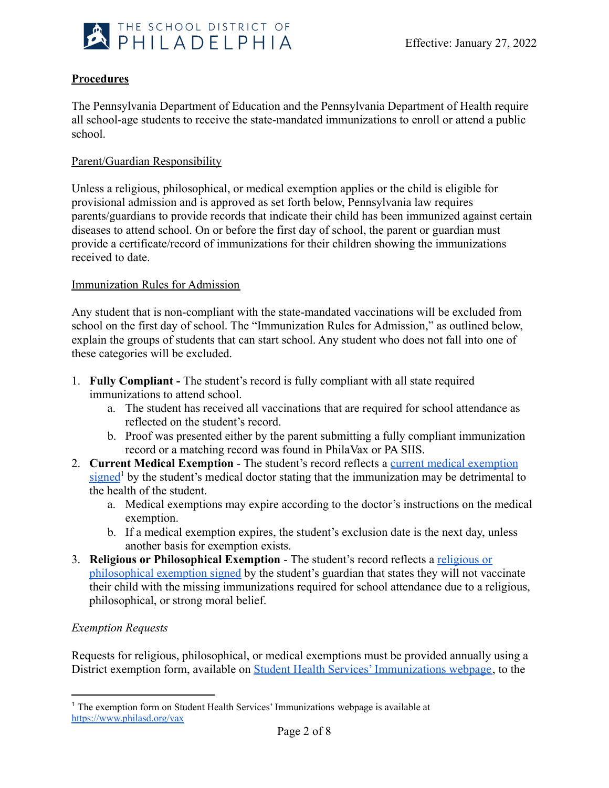

# **Procedures**

The Pennsylvania Department of Education and the Pennsylvania Department of Health require all school-age students to receive the state-mandated immunizations to enroll or attend a public school.

### Parent/Guardian Responsibility

Unless a religious, philosophical, or medical exemption applies or the child is eligible for provisional admission and is approved as set forth below, Pennsylvania law requires parents/guardians to provide records that indicate their child has been immunized against certain diseases to attend school. On or before the first day of school, the parent or guardian must provide a certificate/record of immunizations for their children showing the immunizations received to date.

### Immunization Rules for Admission

Any student that is non-compliant with the state-mandated vaccinations will be excluded from school on the first day of school. The "Immunization Rules for Admission," as outlined below, explain the groups of students that can start school. Any student who does not fall into one of these categories will be excluded.

- 1. **Fully Compliant -** The student's record is fully compliant with all state required immunizations to attend school.
	- a. The student has received all vaccinations that are required for school attendance as reflected on the student's record.
	- b. Proof was presented either by the parent submitting a fully compliant immunization record or a matching record was found in PhilaVax or PA SIIS.
- 2. **Current Medical Exemption** The student's record reflects a [current medical exemption](https://www.philasd.org/studenthealth/immunizations/) [signed](https://www.philasd.org/studenthealth/immunizations/)<sup>1</sup> by the student's medical doctor stating that the immunization may be detrimental to the health of the student.
	- a. Medical exemptions may expire according to the doctor's instructions on the medical exemption.
	- b. If a medical exemption expires, the student's exclusion date is the next day, unless another basis for exemption exists.
- 3. **Religious or Philosophical Exemption** The student's record reflects a [religious or](https://www.philasd.org/studenthealth/immunizations/) [philosophical exemption signed](https://www.philasd.org/studenthealth/immunizations/) by the student's guardian that states they will not vaccinate their child with the missing immunizations required for school attendance due to a religious, philosophical, or strong moral belief.

### *Exemption Requests*

Requests for religious, philosophical, or medical exemptions must be provided annually using a District exemption form, available on Student Health [Services' Immunizations webpage](https://www.philasd.org/studenthealth/immunizations/), to the

<sup>1</sup> The exemption form on Student Health Services' Immunizations webpage is available at [https://www.philasd.org/v](https://www.philasd.org/studenthealth/immunizations/)ax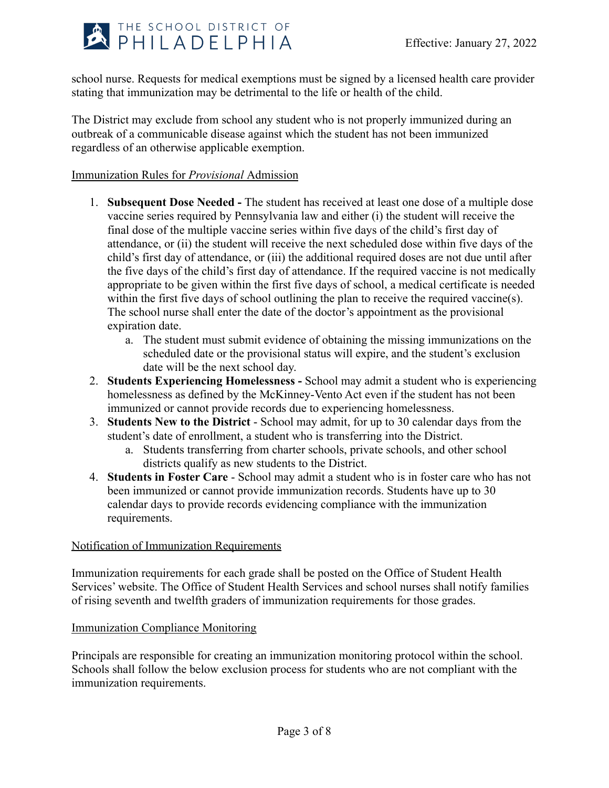

school nurse. Requests for medical exemptions must be signed by a licensed health care provider stating that immunization may be detrimental to the life or health of the child.

The District may exclude from school any student who is not properly immunized during an outbreak of a communicable disease against which the student has not been immunized regardless of an otherwise applicable exemption.

### Immunization Rules for *Provisional* Admission

- 1. **Subsequent Dose Needed -** The student has received at least one dose of a multiple dose vaccine series required by Pennsylvania law and either (i) the student will receive the final dose of the multiple vaccine series within five days of the child's first day of attendance, or (ii) the student will receive the next scheduled dose within five days of the child's first day of attendance, or (iii) the additional required doses are not due until after the five days of the child's first day of attendance. If the required vaccine is not medically appropriate to be given within the first five days of school, a medical certificate is needed within the first five days of school outlining the plan to receive the required vaccine(s). The school nurse shall enter the date of the doctor's appointment as the provisional expiration date.
	- a. The student must submit evidence of obtaining the missing immunizations on the scheduled date or the provisional status will expire, and the student's exclusion date will be the next school day.
- 2. **Students Experiencing Homelessness -** School may admit a student who is experiencing homelessness as defined by the McKinney-Vento Act even if the student has not been immunized or cannot provide records due to experiencing homelessness.
- 3. **Students New to the District** School may admit, for up to 30 calendar days from the student's date of enrollment, a student who is transferring into the District.
	- a. Students transferring from charter schools, private schools, and other school districts qualify as new students to the District.
- 4. **Students in Foster Care** School may admit a student who is in foster care who has not been immunized or cannot provide immunization records. Students have up to 30 calendar days to provide records evidencing compliance with the immunization requirements.

### Notification of Immunization Requirements

Immunization requirements for each grade shall be posted on the Office of Student Health Services' website. The Office of Student Health Services and school nurses shall notify families of rising seventh and twelfth graders of immunization requirements for those grades.

### Immunization Compliance Monitoring

Principals are responsible for creating an immunization monitoring protocol within the school. Schools shall follow the below exclusion process for students who are not compliant with the immunization requirements.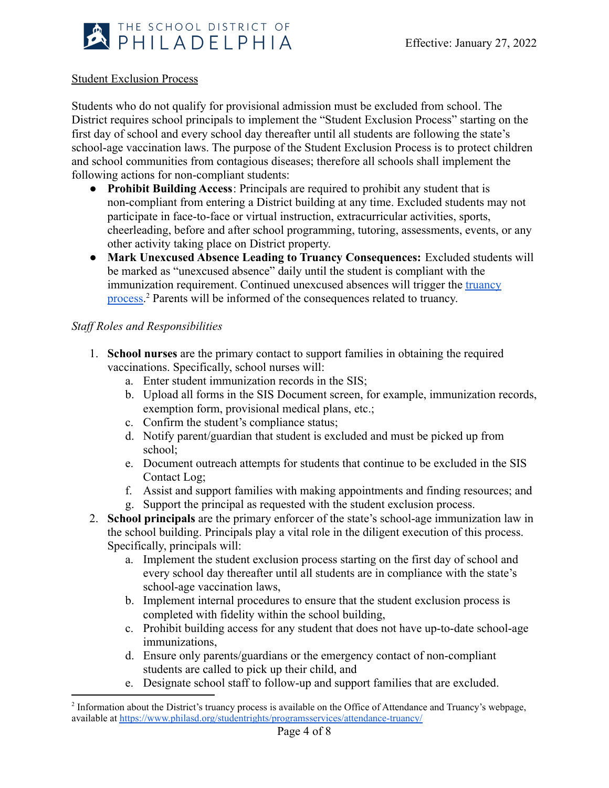

### Student Exclusion Process

Students who do not qualify for provisional admission must be excluded from school. The District requires school principals to implement the "Student Exclusion Process" starting on the first day of school and every school day thereafter until all students are following the state's school-age vaccination laws. The purpose of the Student Exclusion Process is to protect children and school communities from contagious diseases; therefore all schools shall implement the following actions for non-compliant students:

- **Prohibit Building Access**: Principals are required to prohibit any student that is non-compliant from entering a District building at any time. Excluded students may not participate in face-to-face or virtual instruction, extracurricular activities, sports, cheerleading, before and after school programming, tutoring, assessments, events, or any other activity taking place on District property.
- **Mark Unexcused Absence Leading to Truancy Consequences:** Excluded students will be marked as "unexcused absence" daily until the student is compliant with the immunization requirement. Continued unexcused absences will trigger the [truancy](https://www.philasd.org/studentrights/programsservices/attendance-truancy/) [process.](https://www.philasd.org/studentrights/programsservices/attendance-truancy/)<sup>2</sup> Parents will be informed of the consequences related to truancy.

### *Staff Roles and Responsibilities*

- 1. **School nurses** are the primary contact to support families in obtaining the required vaccinations. Specifically, school nurses will:
	- a. Enter student immunization records in the SIS;
	- b. Upload all forms in the SIS Document screen, for example, immunization records, exemption form, provisional medical plans, etc.;
	- c. Confirm the student's compliance status;
	- d. Notify parent/guardian that student is excluded and must be picked up from school;
	- e. Document outreach attempts for students that continue to be excluded in the SIS Contact Log;
	- f. Assist and support families with making appointments and finding resources; and
	- g. Support the principal as requested with the student exclusion process.
- 2. **School principals** are the primary enforcer of the state's school-age immunization law in the school building. Principals play a vital role in the diligent execution of this process. Specifically, principals will:
	- a. Implement the student exclusion process starting on the first day of school and every school day thereafter until all students are in compliance with the state's school-age vaccination laws,
	- b. Implement internal procedures to ensure that the student exclusion process is completed with fidelity within the school building,
	- c. Prohibit building access for any student that does not have up-to-date school-age immunizations,
	- d. Ensure only parents/guardians or the emergency contact of non-compliant students are called to pick up their child, and
	- e. Designate school staff to follow-up and support families that are excluded.

<sup>&</sup>lt;sup>2</sup> Information about the District's truancy process is available on the Office of Attendance and Truancy's webpage, available at <https://www.philasd.org/studentrights/programsservices/attendance-truancy/>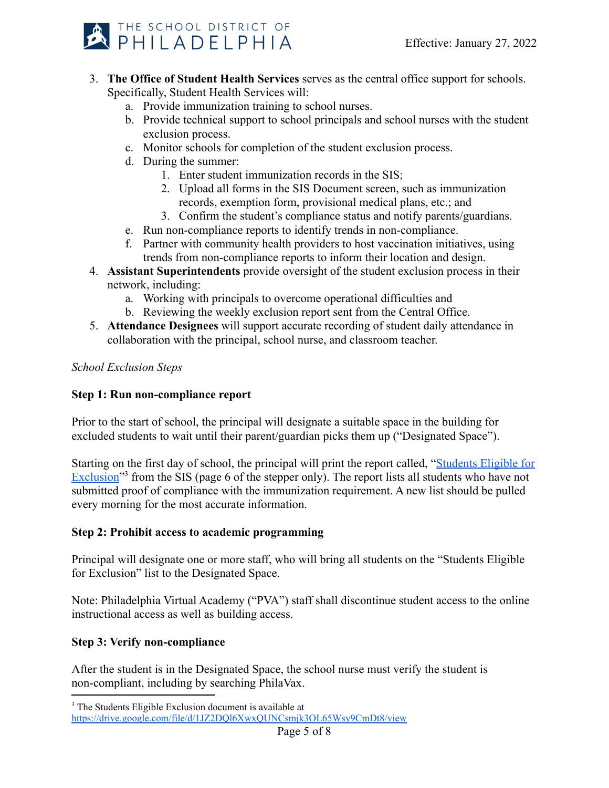

- 3. **The Office of Student Health Services** serves as the central office support for schools. Specifically, Student Health Services will:
	- a. Provide immunization training to school nurses.
	- b. Provide technical support to school principals and school nurses with the student exclusion process.
	- c. Monitor schools for completion of the student exclusion process.
	- d. During the summer:
		- 1. Enter student immunization records in the SIS;
		- 2. Upload all forms in the SIS Document screen, such as immunization records, exemption form, provisional medical plans, etc.; and
		- 3. Confirm the student's compliance status and notify parents/guardians.
	- e. Run non-compliance reports to identify trends in non-compliance.
	- f. Partner with community health providers to host vaccination initiatives, using trends from non-compliance reports to inform their location and design.
- 4. **Assistant Superintendents** provide oversight of the student exclusion process in their network, including:
	- a. Working with principals to overcome operational difficulties and
	- b. Reviewing the weekly exclusion report sent from the Central Office.
- 5. **Attendance Designees** will support accurate recording of student daily attendance in collaboration with the principal, school nurse, and classroom teacher.

# *School Exclusion Steps*

# **Step 1: Run non-compliance report**

Prior to the start of school, the principal will designate a suitable space in the building for excluded students to wait until their parent/guardian picks them up ("Designated Space").

Starting on the first day of school, the principal will print the report called, "[Students Eligible](https://drive.google.com/file/d/1JZ2DQl6XwxQUNCsmjk3OL65Wsy9CmDt8/view) for Exclusion<sup>"3</sup> from the SIS (page 6 of the stepper only). The report lists all students who have not submitted proof of compliance with the immunization requirement. A new list should be pulled every morning for the most accurate information.

# **Step 2: Prohibit access to academic programming**

Principal will designate one or more staff, who will bring all students on the "Students Eligible for Exclusion" list to the Designated Space.

Note: Philadelphia Virtual Academy ("PVA") staff shall discontinue student access to the online instructional access as well as building access.

# **Step 3: Verify non-compliance**

After the student is in the Designated Space, the school nurse must verify the student is non-compliant, including by searching PhilaVax.

<sup>&</sup>lt;sup>3</sup> The Students Eligible Exclusion document is available at

<https://drive.google.com/file/d/1JZ2DQl6XwxQUNCsmjk3OL65Wsy9CmDt8/view>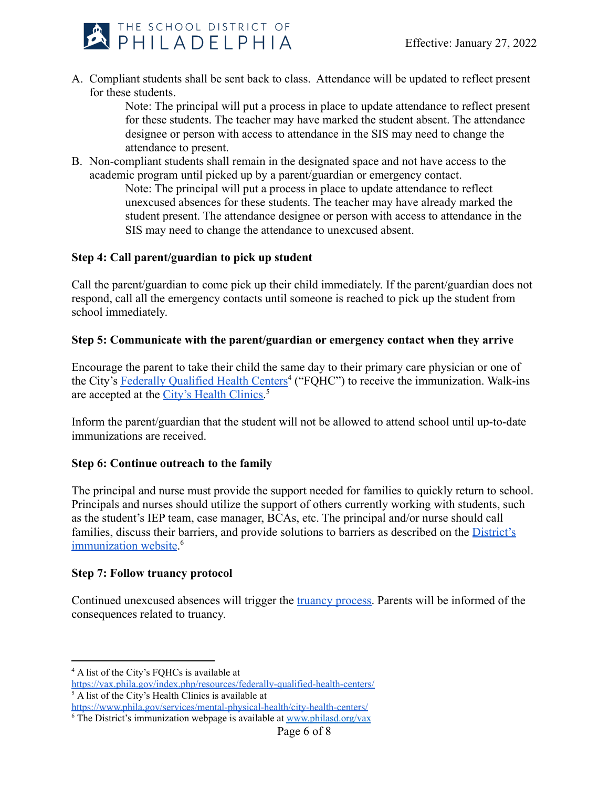

A. Compliant students shall be sent back to class. Attendance will be updated to reflect present for these students.

> Note: The principal will put a process in place to update attendance to reflect present for these students. The teacher may have marked the student absent. The attendance designee or person with access to attendance in the SIS may need to change the attendance to present.

B. Non-compliant students shall remain in the designated space and not have access to the academic program until picked up by a parent/guardian or emergency contact.

Note: The principal will put a process in place to update attendance to reflect unexcused absences for these students. The teacher may have already marked the student present. The attendance designee or person with access to attendance in the SIS may need to change the attendance to unexcused absent.

# **Step 4: Call parent/guardian to pick up student**

Call the parent/guardian to come pick up their child immediately. If the parent/guardian does not respond, call all the emergency contacts until someone is reached to pick up the student from school immediately.

# **Step 5: Communicate with the parent/guardian or emergency contact when they arrive**

Encourage the parent to take their child the same day to their primary care physician or one of the City's [Federally Qualified Health Centers](https://vax.phila.gov/index.php/resources/federally-qualified-health-centers/)<sup>4</sup> ("FQHC") to receive the immunization. Walk-ins are accepted at the [City's Health Clinics.](https://www.phila.gov/services/mental-physical-health/city-health-centers/)<sup>5</sup>

Inform the parent/guardian that the student will not be allowed to attend school until up-to-date immunizations are received.

# **Step 6: Continue outreach to the family**

The principal and nurse must provide the support needed for families to quickly return to school. Principals and nurses should utilize the support of others currently working with students, such as the student's IEP team, case manager, BCAs, etc. The principal and/or nurse should call families, discuss their barriers, and provide solutions to barriers as described on the [District's](http://www.philasd.org/vax) [immunization website](http://www.philasd.org/vax).<sup>6</sup>

# **Step 7: Follow truancy protocol**

Continued unexcused absences will trigger the truancy [process.](https://www.philasd.org/studentrights/programsservices/attendance-truancy/) Parents will be informed of the consequences related to truancy.

<sup>6</sup> The District's immunization webpage is available at [www.philasd.org/vax](http://www.philasd.org/vax) <https://www.phila.gov/services/mental-physical-health/city-health-centers/>

<sup>4</sup> A list of the City's FQHCs is available at

<https://vax.phila.gov/index.php/resources/federally-qualified-health-centers/>

<sup>5</sup> A list of the City's Health Clinics is available at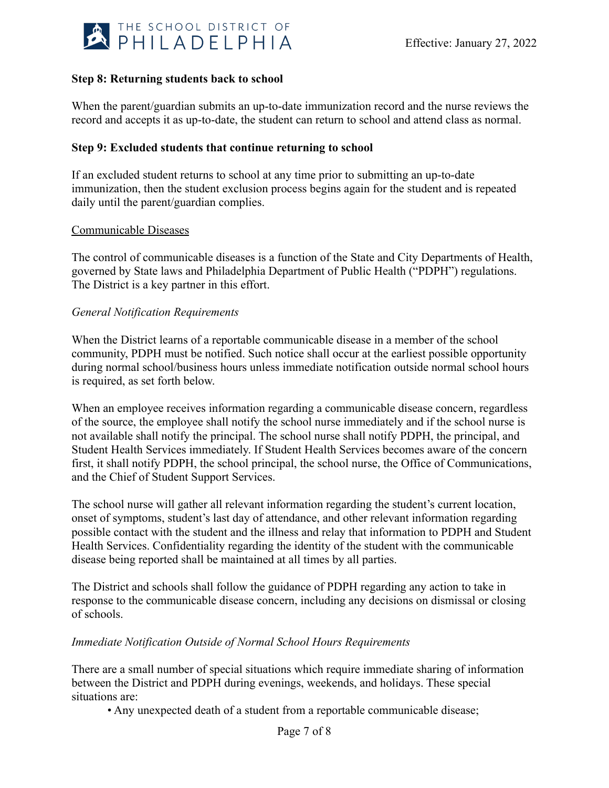

### **Step 8: Returning students back to school**

When the parent/guardian submits an up-to-date immunization record and the nurse reviews the record and accepts it as up-to-date, the student can return to school and attend class as normal.

### **Step 9: Excluded students that continue returning to school**

If an excluded student returns to school at any time prior to submitting an up-to-date immunization, then the student exclusion process begins again for the student and is repeated daily until the parent/guardian complies.

#### Communicable Diseases

The control of communicable diseases is a function of the State and City Departments of Health, governed by State laws and Philadelphia Department of Public Health ("PDPH") regulations. The District is a key partner in this effort.

### *General Notification Requirements*

When the District learns of a reportable communicable disease in a member of the school community, PDPH must be notified. Such notice shall occur at the earliest possible opportunity during normal school/business hours unless immediate notification outside normal school hours is required, as set forth below.

When an employee receives information regarding a communicable disease concern, regardless of the source, the employee shall notify the school nurse immediately and if the school nurse is not available shall notify the principal. The school nurse shall notify PDPH, the principal, and Student Health Services immediately. If Student Health Services becomes aware of the concern first, it shall notify PDPH, the school principal, the school nurse, the Office of Communications, and the Chief of Student Support Services.

The school nurse will gather all relevant information regarding the student's current location, onset of symptoms, student's last day of attendance, and other relevant information regarding possible contact with the student and the illness and relay that information to PDPH and Student Health Services. Confidentiality regarding the identity of the student with the communicable disease being reported shall be maintained at all times by all parties.

The District and schools shall follow the guidance of PDPH regarding any action to take in response to the communicable disease concern, including any decisions on dismissal or closing of schools.

### *Immediate Notification Outside of Normal School Hours Requirements*

There are a small number of special situations which require immediate sharing of information between the District and PDPH during evenings, weekends, and holidays. These special situations are:

• Any unexpected death of a student from a reportable communicable disease;